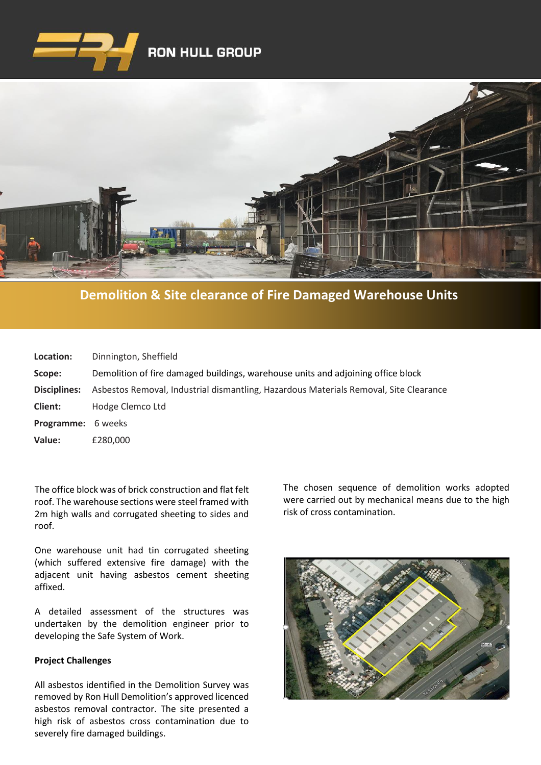



**[Demolition & Site clearance of Fire Damaged Warehouse Units](https://www.google.co.uk/imgres?imgurl=http%3A%2F%2Fwww.clenergy.co.uk%2FImageGen.ashx%3Fimage%3D%2Fmedia%2F1044%2Fcredit-solutia-2009-looking-south-4mb.jpg%26width%3D568%26height%3D320&imgrefurl=http%3A%2F%2Fwww.clenergy.co.uk%2Fprojects%2Fsolutia%2F&docid=l4QIaOP_OnRHZM&tbnid=A2rf481aMiEi8M%3A&vet=10ahUKEwie4JWq6srkAhX6SxUIHaTaDYwQMwg_KAEwAQ..i&w=568&h=320&bih=575&biw=1280&q=eastman%20chemical%20plant%20newport%20wales&ved=0ahUKEwie4JWq6srkAhX6SxUIHaTaDYwQMwg_KAEwAQ&iact=mrc&uact=8)**

| Location:                 | Dinnington, Sheffield                                                                 |
|---------------------------|---------------------------------------------------------------------------------------|
| Scope:                    | Demolition of fire damaged buildings, warehouse units and adjoining office block      |
| Disciplines:              | Asbestos Removal, Industrial dismantling, Hazardous Materials Removal, Site Clearance |
| Client:                   | Hodge Clemco Ltd                                                                      |
| <b>Programme:</b> 6 weeks |                                                                                       |
| Value:                    | £280,000                                                                              |

The office block was of brick construction and flat felt roof. The warehouse sections were steel framed with 2m high walls and corrugated sheeting to sides and roof.

One warehouse unit had tin corrugated sheeting (which suffered extensive fire damage) with the adjacent unit having asbestos cement sheeting affixed.

A detailed assessment of the structures was undertaken by the demolition engineer prior to developing the Safe System of Work.

## **Project Challenges**

All asbestos identified in the Demolition Survey was removed by Ron Hull Demolition's approved licenced asbestos removal contractor. The site presented a high risk of asbestos cross contamination due to severely fire damaged buildings.

The chosen sequence of demolition works adopted were carried out by mechanical means due to the high risk of cross contamination.